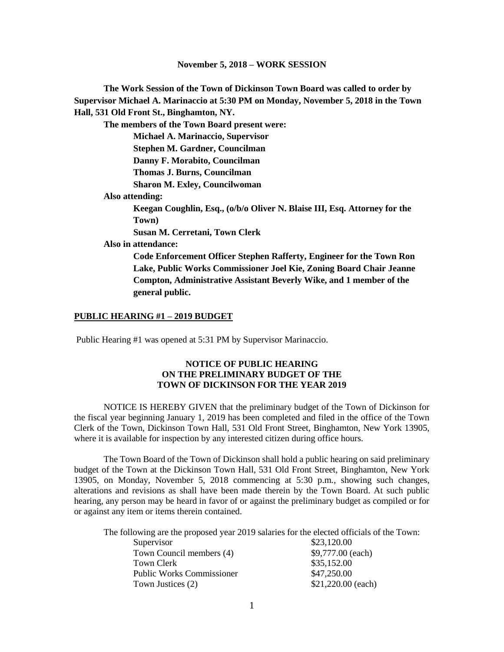**The Work Session of the Town of Dickinson Town Board was called to order by Supervisor Michael A. Marinaccio at 5:30 PM on Monday, November 5, 2018 in the Town Hall, 531 Old Front St., Binghamton, NY.**

**The members of the Town Board present were:**

**Michael A. Marinaccio, Supervisor Stephen M. Gardner, Councilman Danny F. Morabito, Councilman**

**Thomas J. Burns, Councilman**

**Sharon M. Exley, Councilwoman**

**Also attending:**

**Keegan Coughlin, Esq., (o/b/o Oliver N. Blaise III, Esq. Attorney for the Town)**

**Susan M. Cerretani, Town Clerk**

**Also in attendance:** 

**Code Enforcement Officer Stephen Rafferty, Engineer for the Town Ron Lake, Public Works Commissioner Joel Kie, Zoning Board Chair Jeanne Compton, Administrative Assistant Beverly Wike, and 1 member of the general public.**

#### **PUBLIC HEARING #1 – 2019 BUDGET**

Public Hearing #1 was opened at 5:31 PM by Supervisor Marinaccio.

### **NOTICE OF PUBLIC HEARING ON THE PRELIMINARY BUDGET OF THE TOWN OF DICKINSON FOR THE YEAR 2019**

NOTICE IS HEREBY GIVEN that the preliminary budget of the Town of Dickinson for the fiscal year beginning January 1, 2019 has been completed and filed in the office of the Town Clerk of the Town, Dickinson Town Hall, 531 Old Front Street, Binghamton, New York 13905, where it is available for inspection by any interested citizen during office hours.

The Town Board of the Town of Dickinson shall hold a public hearing on said preliminary budget of the Town at the Dickinson Town Hall, 531 Old Front Street, Binghamton, New York 13905, on Monday, November 5, 2018 commencing at 5:30 p.m., showing such changes, alterations and revisions as shall have been made therein by the Town Board. At such public hearing, any person may be heard in favor of or against the preliminary budget as compiled or for or against any item or items therein contained.

The following are the proposed year 2019 salaries for the elected officials of the Town:

| Supervisor                       | \$23,120.00        |
|----------------------------------|--------------------|
| Town Council members (4)         | $$9,777.00$ (each) |
| Town Clerk                       | \$35,152.00        |
| <b>Public Works Commissioner</b> | \$47,250.00        |
| Town Justices (2)                | \$21,220.00 (each) |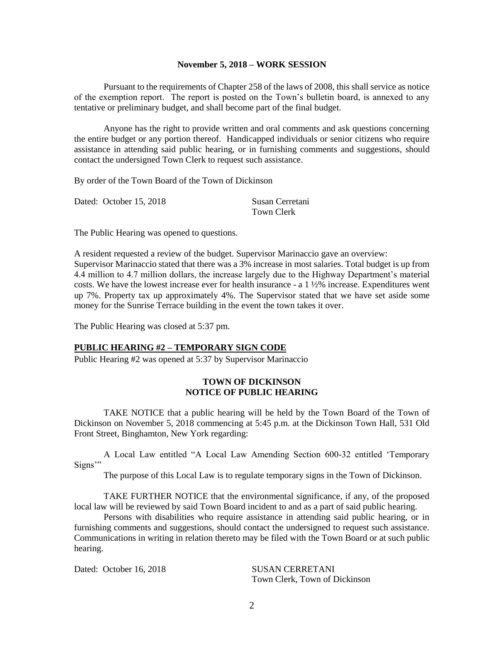Pursuant to the requirements of Chapter 258 of the laws of 2008, this shall service as notice of the exemption report. The report is posted on the Town's bulletin board, is annexed to any tentative or preliminary budget, and shall become part of the final budget.

Anyone has the right to provide written and oral comments and ask questions concerning the entire budget or any portion thereof. Handicapped individuals or senior citizens who require assistance in attending said public hearing, or in furnishing comments and suggestions, should contact the undersigned Town Clerk to request such assistance.

By order of the Town Board of the Town of Dickinson

| Dated: October 15, 2018 |            | Susan Cerretani |
|-------------------------|------------|-----------------|
|                         | Town Clerk |                 |

The Public Hearing was opened to questions.

A resident requested a review of the budget. Supervisor Marinaccio gave an overview: Supervisor Marinaccio stated that there was a 3% increase in most salaries. Total budget is up from 4.4 million to 4.7 million dollars, the increase largely due to the Highway Department's material costs. We have the lowest increase ever for health insurance - a 1 ½% increase. Expenditures went up 7%. Property tax up approximately 4%. The Supervisor stated that we have set aside some money for the Sunrise Terrace building in the event the town takes it over.

The Public Hearing was closed at 5:37 pm.

### **PUBLIC HEARING #2 – TEMPORARY SIGN CODE**

Public Hearing #2 was opened at 5:37 by Supervisor Marinaccio

## **TOWN OF DICKINSON NOTICE OF PUBLIC HEARING**

TAKE NOTICE that a public hearing will be held by the Town Board of the Town of Dickinson on November 5, 2018 commencing at 5:45 p.m. at the Dickinson Town Hall, 531 Old Front Street, Binghamton, New York regarding:

A Local Law entitled "A Local Law Amending Section 600-32 entitled 'Temporary Signs"

The purpose of this Local Law is to regulate temporary signs in the Town of Dickinson.

TAKE FURTHER NOTICE that the environmental significance, if any, of the proposed local law will be reviewed by said Town Board incident to and as a part of said public hearing.

Persons with disabilities who require assistance in attending said public hearing, or in furnishing comments and suggestions, should contact the undersigned to request such assistance. Communications in writing in relation thereto may be filed with the Town Board or at such public hearing.

Dated: October 16, 2018 SUSAN CERRETANI

Town Clerk, Town of Dickinson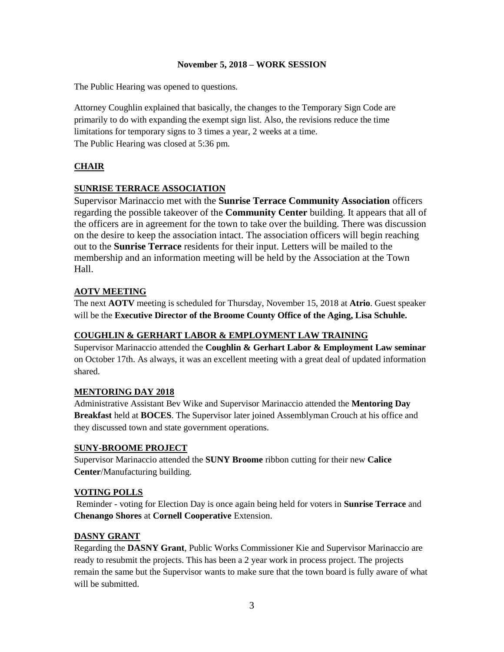The Public Hearing was opened to questions.

Attorney Coughlin explained that basically, the changes to the Temporary Sign Code are primarily to do with expanding the exempt sign list. Also, the revisions reduce the time limitations for temporary signs to 3 times a year, 2 weeks at a time. The Public Hearing was closed at 5:36 pm.

## **CHAIR**

## **SUNRISE TERRACE ASSOCIATION**

Supervisor Marinaccio met with the **Sunrise Terrace Community Association** officers regarding the possible takeover of the **Community Center** building. It appears that all of the officers are in agreement for the town to take over the building. There was discussion on the desire to keep the association intact. The association officers will begin reaching out to the **Sunrise Terrace** residents for their input. Letters will be mailed to the membership and an information meeting will be held by the Association at the Town Hall.

## **AOTV MEETING**

The next **AOTV** meeting is scheduled for Thursday, November 15, 2018 at **Atrio**. Guest speaker will be the **Executive Director of the Broome County Office of the Aging, Lisa Schuhle.**

## **COUGHLIN & GERHART LABOR & EMPLOYMENT LAW TRAINING**

Supervisor Marinaccio attended the **Coughlin & Gerhart Labor & Employment Law seminar** on October 17th. As always, it was an excellent meeting with a great deal of updated information shared.

## **MENTORING DAY 2018**

Administrative Assistant Bev Wike and Supervisor Marinaccio attended the **Mentoring Day Breakfast** held at **BOCES**. The Supervisor later joined Assemblyman Crouch at his office and they discussed town and state government operations.

## **SUNY-BROOME PROJECT**

Supervisor Marinaccio attended the **SUNY Broome** ribbon cutting for their new **Calice Center**/Manufacturing building.

## **VOTING POLLS**

Reminder - voting for Election Day is once again being held for voters in **Sunrise Terrace** and **Chenango Shores** at **Cornell Cooperative** Extension.

## **DASNY GRANT**

Regarding the **DASNY Grant**, Public Works Commissioner Kie and Supervisor Marinaccio are ready to resubmit the projects. This has been a 2 year work in process project. The projects remain the same but the Supervisor wants to make sure that the town board is fully aware of what will be submitted.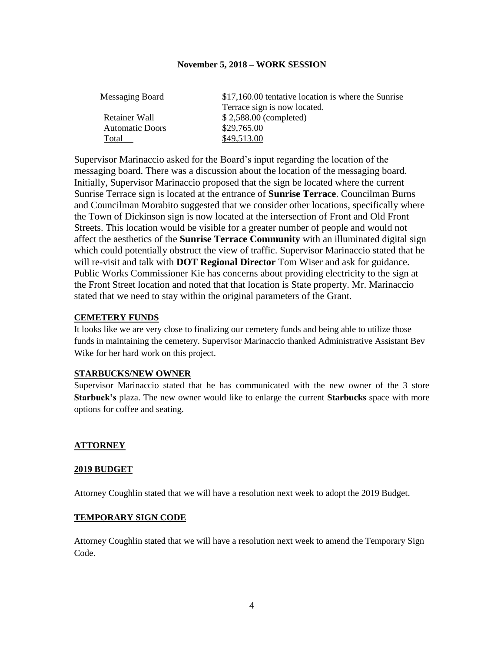| \$17,160.00 tentative location is where the Sunrise |
|-----------------------------------------------------|
| Terrace sign is now located.                        |
| $$2,588.00$ (completed)                             |
| \$29,765.00                                         |
| \$49,513.00                                         |
|                                                     |

Supervisor Marinaccio asked for the Board's input regarding the location of the messaging board. There was a discussion about the location of the messaging board. Initially, Supervisor Marinaccio proposed that the sign be located where the current Sunrise Terrace sign is located at the entrance of **Sunrise Terrace**. Councilman Burns and Councilman Morabito suggested that we consider other locations, specifically where the Town of Dickinson sign is now located at the intersection of Front and Old Front Streets. This location would be visible for a greater number of people and would not affect the aesthetics of the **Sunrise Terrace Community** with an illuminated digital sign which could potentially obstruct the view of traffic. Supervisor Marinaccio stated that he will re-visit and talk with **DOT Regional Director** Tom Wiser and ask for guidance. Public Works Commissioner Kie has concerns about providing electricity to the sign at the Front Street location and noted that that location is State property. Mr. Marinaccio stated that we need to stay within the original parameters of the Grant.

### **CEMETERY FUNDS**

It looks like we are very close to finalizing our cemetery funds and being able to utilize those funds in maintaining the cemetery. Supervisor Marinaccio thanked Administrative Assistant Bev Wike for her hard work on this project.

### **STARBUCKS/NEW OWNER**

Supervisor Marinaccio stated that he has communicated with the new owner of the 3 store **Starbuck's** plaza. The new owner would like to enlarge the current **Starbucks** space with more options for coffee and seating.

### **ATTORNEY**

#### **2019 BUDGET**

Attorney Coughlin stated that we will have a resolution next week to adopt the 2019 Budget.

### **TEMPORARY SIGN CODE**

Attorney Coughlin stated that we will have a resolution next week to amend the Temporary Sign Code.